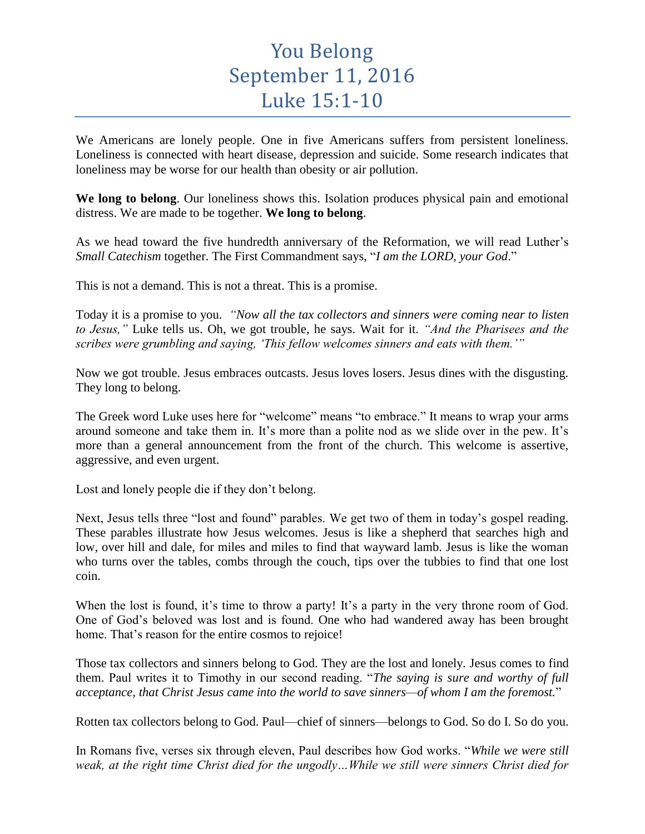## You Belong September 11, 2016 Luke 15:1-10

We Americans are lonely people. One in five Americans suffers from persistent loneliness. Loneliness is connected with heart disease, depression and suicide. Some research indicates that loneliness may be worse for our health than obesity or air pollution.

**We long to belong**. Our loneliness shows this. Isolation produces physical pain and emotional distress. We are made to be together. **We long to belong**.

As we head toward the five hundredth anniversary of the Reformation, we will read Luther's *Small Catechism* together. The First Commandment says, "*I am the LORD, your God*."

This is not a demand. This is not a threat. This is a promise.

Today it is a promise to you. *"Now all the tax collectors and sinners were coming near to listen to Jesus,"* Luke tells us. Oh, we got trouble, he says. Wait for it. *"And the Pharisees and the scribes were grumbling and saying, 'This fellow welcomes sinners and eats with them.'"*

Now we got trouble. Jesus embraces outcasts. Jesus loves losers. Jesus dines with the disgusting. They long to belong.

The Greek word Luke uses here for "welcome" means "to embrace." It means to wrap your arms around someone and take them in. It's more than a polite nod as we slide over in the pew. It's more than a general announcement from the front of the church. This welcome is assertive, aggressive, and even urgent.

Lost and lonely people die if they don't belong.

Next, Jesus tells three "lost and found" parables. We get two of them in today's gospel reading. These parables illustrate how Jesus welcomes. Jesus is like a shepherd that searches high and low, over hill and dale, for miles and miles to find that wayward lamb. Jesus is like the woman who turns over the tables, combs through the couch, tips over the tubbies to find that one lost coin.

When the lost is found, it's time to throw a party! It's a party in the very throne room of God. One of God's beloved was lost and is found. One who had wandered away has been brought home. That's reason for the entire cosmos to rejoice!

Those tax collectors and sinners belong to God. They are the lost and lonely. Jesus comes to find them. Paul writes it to Timothy in our second reading. "*The saying is sure and worthy of full acceptance, that Christ Jesus came into the world to save sinners—of whom I am the foremost.*"

Rotten tax collectors belong to God. Paul—chief of sinners—belongs to God. So do I. So do you.

In Romans five, verses six through eleven, Paul describes how God works. "*While we were still weak, at the right time Christ died for the ungodly…While we still were sinners Christ died for*